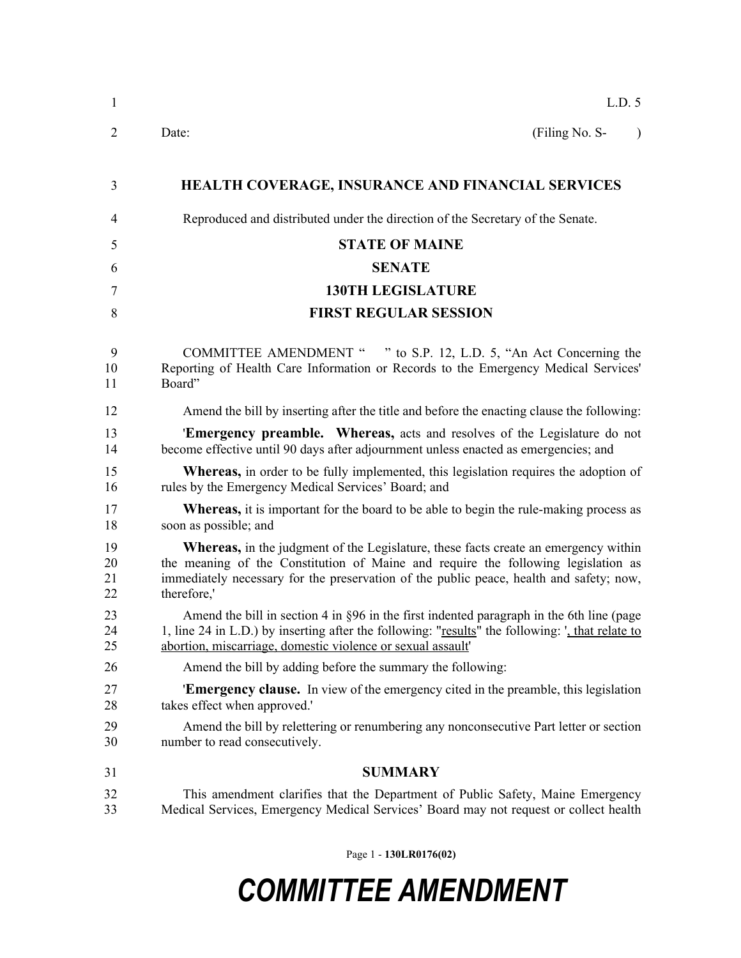| $\mathbf{1}$         | L.D. 5                                                                                                                                                                                                                                                                                    |
|----------------------|-------------------------------------------------------------------------------------------------------------------------------------------------------------------------------------------------------------------------------------------------------------------------------------------|
| $\overline{2}$       | (Filing No. S-<br>Date:<br>$\lambda$                                                                                                                                                                                                                                                      |
| 3                    | <b>HEALTH COVERAGE, INSURANCE AND FINANCIAL SERVICES</b>                                                                                                                                                                                                                                  |
| $\overline{4}$       | Reproduced and distributed under the direction of the Secretary of the Senate.                                                                                                                                                                                                            |
| 5                    | <b>STATE OF MAINE</b>                                                                                                                                                                                                                                                                     |
| 6                    | <b>SENATE</b>                                                                                                                                                                                                                                                                             |
| 7                    | <b>130TH LEGISLATURE</b>                                                                                                                                                                                                                                                                  |
| 8                    | <b>FIRST REGULAR SESSION</b>                                                                                                                                                                                                                                                              |
| 9<br>10<br>11        | COMMITTEE AMENDMENT " " to S.P. 12, L.D. 5, "An Act Concerning the<br>Reporting of Health Care Information or Records to the Emergency Medical Services'<br>Board"                                                                                                                        |
| 12                   | Amend the bill by inserting after the title and before the enacting clause the following:                                                                                                                                                                                                 |
| 13<br>14             | <b>Emergency preamble.</b> Whereas, acts and resolves of the Legislature do not<br>become effective until 90 days after adjournment unless enacted as emergencies; and                                                                                                                    |
| 15<br>16             | <b>Whereas,</b> in order to be fully implemented, this legislation requires the adoption of<br>rules by the Emergency Medical Services' Board; and                                                                                                                                        |
| 17<br>18             | <b>Whereas,</b> it is important for the board to be able to begin the rule-making process as<br>soon as possible; and                                                                                                                                                                     |
| 19<br>20<br>21<br>22 | <b>Whereas,</b> in the judgment of the Legislature, these facts create an emergency within<br>the meaning of the Constitution of Maine and require the following legislation as<br>immediately necessary for the preservation of the public peace, health and safety; now,<br>therefore,' |
| 23<br>24<br>25       | Amend the bill in section 4 in $\S 96$ in the first indented paragraph in the 6th line (page<br>1, line 24 in L.D.) by inserting after the following: "results" the following: ', that relate to<br>abortion, miscarriage, domestic violence or sexual assault'                           |
| 26                   | Amend the bill by adding before the summary the following:                                                                                                                                                                                                                                |
| 27<br>28             | <b>Emergency clause.</b> In view of the emergency cited in the preamble, this legislation<br>takes effect when approved.'                                                                                                                                                                 |
| 29<br>30             | Amend the bill by relettering or renumbering any nonconsecutive Part letter or section<br>number to read consecutively.                                                                                                                                                                   |
| 31                   | <b>SUMMARY</b>                                                                                                                                                                                                                                                                            |
| 32<br>33             | This amendment clarifies that the Department of Public Safety, Maine Emergency<br>Medical Services, Emergency Medical Services' Board may not request or collect health                                                                                                                   |

Page 1 - **130LR0176(02)**

## *COMMITTEE AMENDMENT*